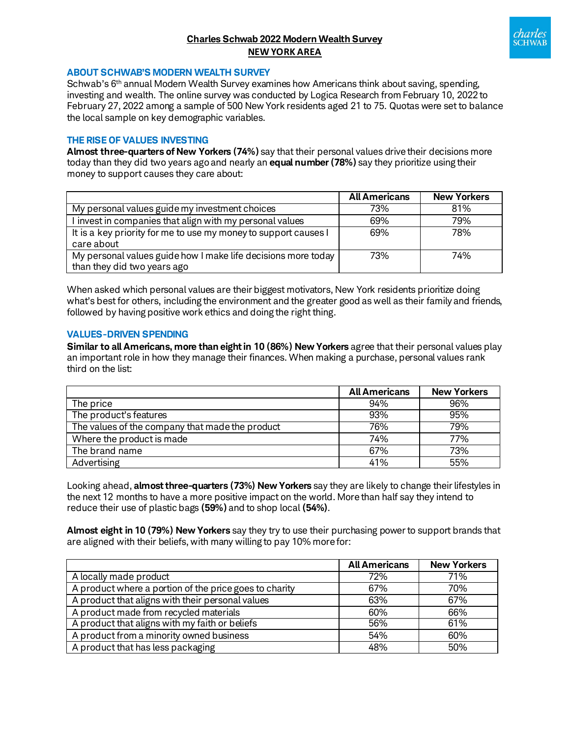# **Charles Schwab 2022 Modern Wealth Survey NEW YORK AREA**



#### **ABOUT SCHWAB'S MODERN WEALTH SURVEY**

Schwab's 6<sup>th</sup> annual Modern Wealth Survey examines how Americans think about saving, spending, investing and wealth. The online survey was conducted by Logica Research from February 10, 2022 to February 27, 2022 among a sample of 500 New York residents aged 21 to 75. Quotas were set to balance the local sample on key demographic variables.

#### **THE RISE OF VALUES INVESTING**

**Almost three-quarters of New Yorkers (74%)** say that their personal values drive their decisions more today than they did two years agoand nearly an **equal number (78%)** say they prioritize using their money to support causes they care about:

|                                                                 | <b>All Americans</b> | <b>New Yorkers</b> |
|-----------------------------------------------------------------|----------------------|--------------------|
| My personal values guide my investment choices                  | 73%                  | 81%                |
| I invest in companies that align with my personal values        | 69%                  | 79%                |
| It is a key priority for me to use my money to support causes I | 69%                  | 78%                |
| care about                                                      |                      |                    |
| My personal values guide how I make life decisions more today   | 73%                  | 74%                |
| than they did two years ago                                     |                      |                    |

When asked which personal values are their biggest motivators, New York residents prioritize doing what's best for others, including the environment and the greater good as well as their family and friends, followed by having positive work ethics and doing the right thing.

#### **VALUES-DRIVEN SPENDING**

**Similar to all Americans, more than eight in 10 (86%) New Yorkers** agree that their personal values play an important role in how they manage their finances. When making a purchase, personal values rank third on the list:

|                                                 | <b>All Americans</b> | <b>New Yorkers</b> |
|-------------------------------------------------|----------------------|--------------------|
| The price                                       | 94%                  | 96%                |
| The product's features                          | 93%                  | 95%                |
| The values of the company that made the product | 76%                  | 79%                |
| Where the product is made                       | 74%                  | 77%                |
| The brand name                                  | 67%                  | 73%                |
| Advertising                                     | 41%                  | 55%                |

Looking ahead, **almost three-quarters (73%) New Yorkers** say they are likely to change their lifestyles in the next 12 months to have a more positive impact on the world. More than half say they intend to reduce their use of plastic bags **(59%)** and to shop local **(54%)**.

**Almost eight in 10 (79%) New Yorkers** say they try to use their purchasing power to support brands that are aligned with their beliefs, with many willing to pay 10% more for:

|                                                        | <b>All Americans</b> | <b>New Yorkers</b> |
|--------------------------------------------------------|----------------------|--------------------|
| A locally made product                                 | 72%                  | 71%                |
| A product where a portion of the price goes to charity | 67%                  | 70%                |
| A product that aligns with their personal values       | 63%                  | 67%                |
| A product made from recycled materials                 | 60%                  | 66%                |
| A product that aligns with my faith or beliefs         | 56%                  | 61%                |
| A product from a minority owned business               | 54%                  | 60%                |
| A product that has less packaging                      | 48%                  | 50%                |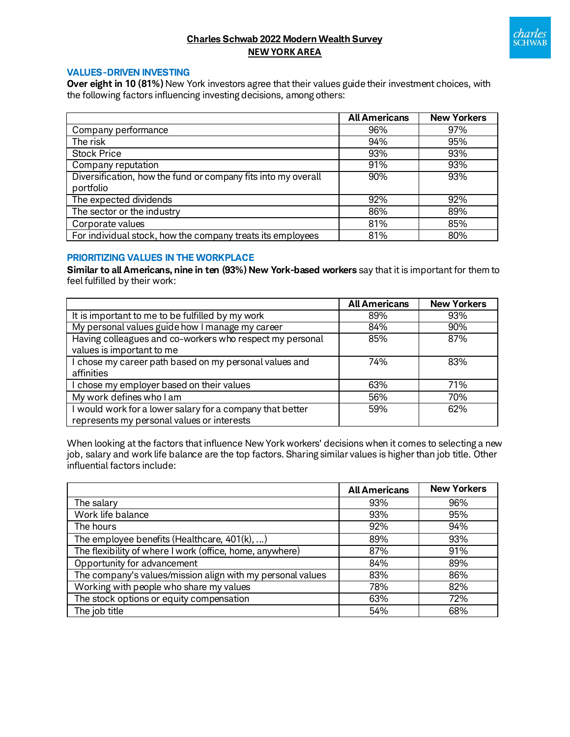

# **Charles Schwab 2022 Modern Wealth Survey NEW YORK AREA**

## **VALUES-DRIVEN INVESTING**

**Over eight in 10 (81%)** New York investors agree that their values guide their investment choices, with the following factors influencing investing decisions, among others:

|                                                               | <b>All Americans</b> | <b>New Yorkers</b> |
|---------------------------------------------------------------|----------------------|--------------------|
| Company performance                                           | 96%                  | 97%                |
| The risk                                                      | 94%                  | 95%                |
| <b>Stock Price</b>                                            | 93%                  | 93%                |
| Company reputation                                            | 91%                  | 93%                |
| Diversification, how the fund or company fits into my overall | 90%                  | 93%                |
| portfolio                                                     |                      |                    |
| The expected dividends                                        | 92%                  | 92%                |
| The sector or the industry                                    | 86%                  | 89%                |
| Corporate values                                              | 81%                  | 85%                |
| For individual stock, how the company treats its employees    | 81%                  | 80%                |

## **PRIORITIZING VALUES IN THE WORKPLACE**

**Similar to all Americans, nine in ten (93%) New York-based workers** say that it is important for them to feel fulfilled by their work:

|                                                                                                         | <b>All Americans</b> | <b>New Yorkers</b> |
|---------------------------------------------------------------------------------------------------------|----------------------|--------------------|
| It is important to me to be fulfilled by my work                                                        | 89%                  | 93%                |
| My personal values guide how I manage my career                                                         | 84%                  | 90%                |
| Having colleagues and co-workers who respect my personal<br>values is important to me                   | 85%                  | 87%                |
| I chose my career path based on my personal values and<br>affinities                                    | 74%                  | 83%                |
| I chose my employer based on their values                                                               | 63%                  | 71%                |
| My work defines who I am                                                                                | 56%                  | 70%                |
| I would work for a lower salary for a company that better<br>represents my personal values or interests | 59%                  | 62%                |

When looking at the factors that influence New York workers' decisions when it comes to selecting a new job, salary and work life balance are the top factors. Sharing similar values is higher than job title. Other influential factors include:

|                                                            | <b>All Americans</b> | <b>New Yorkers</b> |
|------------------------------------------------------------|----------------------|--------------------|
| The salary                                                 | 93%                  | 96%                |
| Work life balance                                          | 93%                  | 95%                |
| The hours                                                  | 92%                  | 94%                |
| The employee benefits (Healthcare, $401(k), $ )            | 89%                  | 93%                |
| The flexibility of where I work (office, home, anywhere)   | 87%                  | 91%                |
| Opportunity for advancement                                | 84%                  | 89%                |
| The company's values/mission align with my personal values | 83%                  | 86%                |
| Working with people who share my values                    | 78%                  | 82%                |
| The stock options or equity compensation                   | 63%                  | 72%                |
| The job title                                              | 54%                  | 68%                |